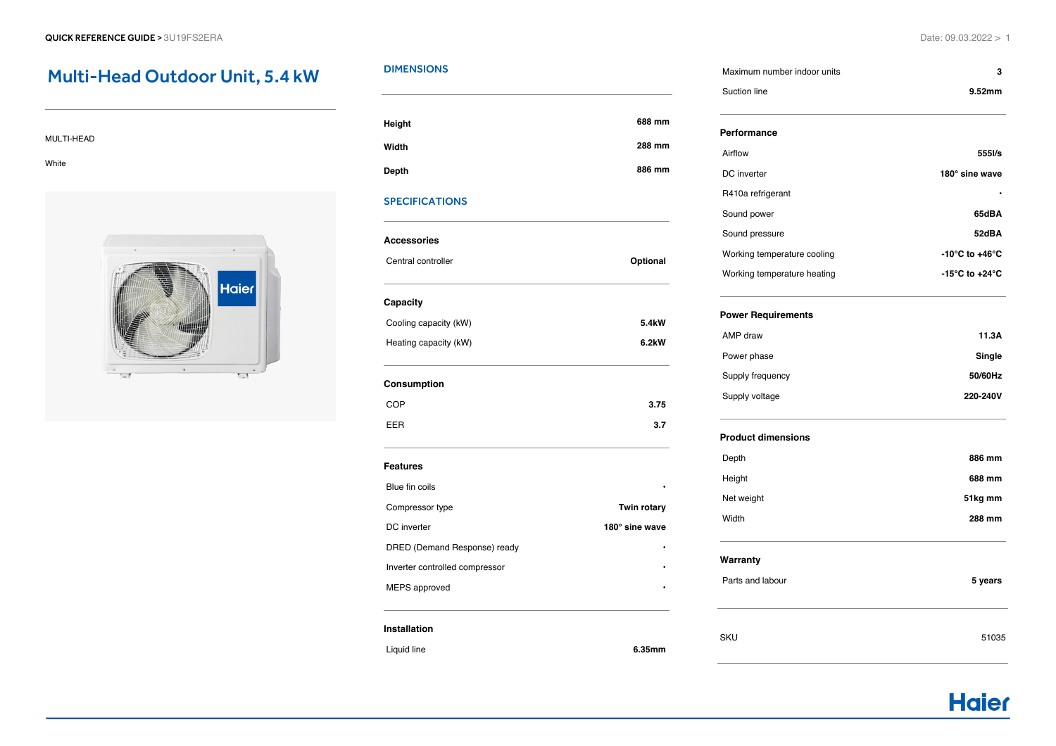# Multi-Head Outdoor Unit, 5.4 kW

#### MULTI-HEAD

White



# **DIMENSIONS**

| Height       | 688 mm |
|--------------|--------|
| Width        | 288 mm |
| <b>Depth</b> | 886 mm |

## SPECIFICATIONS

# **Accessories** Central controller **Optional Capacity** Cooling capacity (kW) **5.4kW** Heating capacity (kW) **6.2kW Consumption** COP **3.75** EER **3.7 Features** Blue fin coils **• Compressor type <b>Twin** rotary

| DC inverter                    | 180° sine wave |
|--------------------------------|----------------|
| DRED (Demand Response) ready   |                |
| Inverter controlled compressor |                |
| MEPS approved                  | ٠              |

#### **Installation**

Liquid line **6.35mm**

| Parts and labou |
|-----------------|
|                 |
|                 |
|                 |
|                 |

| Suction line      | 9.52mm         |
|-------------------|----------------|
| Performance       |                |
| Airflow           | 555I/s         |
| DC inverter       | 180° sine wave |
| R410a refrigerant | ٠              |
| Sound power       | 65dBA          |

Maximum number indoor units **3**

| Sound pressure              | 52dBA                              |
|-----------------------------|------------------------------------|
| Working temperature cooling | $-10^{\circ}$ C to $+46^{\circ}$ C |
| Working temperature heating | $-15^{\circ}$ C to $+24^{\circ}$ C |

# **Power Requirements**

| 11.3A    |
|----------|
| Single   |
| 50/60Hz  |
| 220-240V |
|          |

#### **Product dimensions**

| Depth      | 886 mm  |
|------------|---------|
| Height     | 688 mm  |
| Net weight | 51kg mm |
| Width      | 288 mm  |
|            |         |

### **Warranty**

| Parts and labour | 5 years |
|------------------|---------|
|                  |         |

# SKU 51035